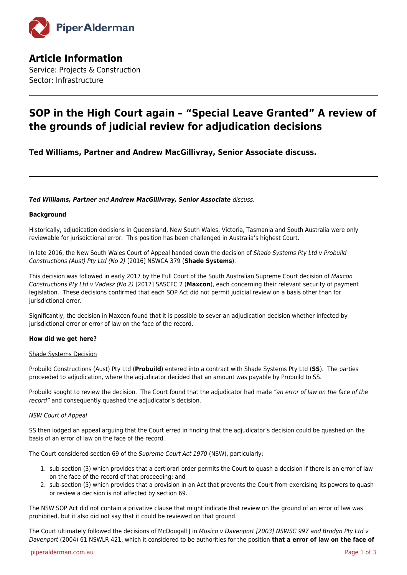

**Article Information** Service: Projects & Construction Sector: Infrastructure

# **SOP in the High Court again – "Special Leave Granted" A review of the grounds of judicial review for adjudication decisions**

**Ted Williams, Partner and Andrew MacGillivray, Senior Associate discuss.**

# *Ted Williams, Partner* and *Andrew MacGillivray, Senior Associate* discuss.

# **Background**

Historically, adjudication decisions in Queensland, New South Wales, Victoria, Tasmania and South Australia were only reviewable for jurisdictional error. This position has been challenged in Australia's highest Court.

In late 2016, the New South Wales Court of Appeal handed down the decision of Shade Systems Pty Ltd v Probuild Constructions (Aust) Pty Ltd (No 2) [2016] NSWCA 379 (**Shade Systems**).

This decision was followed in early 2017 by the Full Court of the South Australian Supreme Court decision of Maxcon Constructions Pty Ltd v Vadasz (No 2) [2017] SASCFC 2 (**Maxcon**), each concerning their relevant security of payment legislation. These decisions confirmed that each SOP Act did not permit judicial review on a basis other than for jurisdictional error.

Significantly, the decision in Maxcon found that it is possible to sever an adjudication decision whether infected by jurisdictional error or error of law on the face of the record.

#### **How did we get here?**

#### Shade Systems Decision

Probuild Constructions (Aust) Pty Ltd (**Probuild**) entered into a contract with Shade Systems Pty Ltd (**SS**). The parties proceeded to adjudication, where the adjudicator decided that an amount was payable by Probuild to SS.

Probuild sought to review the decision. The Court found that the adjudicator had made "an error of law on the face of the record" and consequently quashed the adjudicator's decision.

#### NSW Court of Appeal

SS then lodged an appeal arguing that the Court erred in finding that the adjudicator's decision could be quashed on the basis of an error of law on the face of the record.

The Court considered section 69 of the Supreme Court Act 1970 (NSW), particularly:

- 1. sub-section (3) which provides that a certiorari order permits the Court to quash a decision if there is an error of law on the face of the record of that proceeding; and
- 2. sub-section (5) which provides that a provision in an Act that prevents the Court from exercising its powers to quash or review a decision is not affected by section 69.

The NSW SOP Act did not contain a privative clause that might indicate that review on the ground of an error of law was prohibited, but it also did not say that it could be reviewed on that ground.

The Court ultimately followed the decisions of McDougall J in Musico v Davenport [2003] NSWSC 997 and Brodyn Pty Ltd v Davenport (2004) 61 NSWLR 421, which it considered to be authorities for the position **that a error of law on the face of**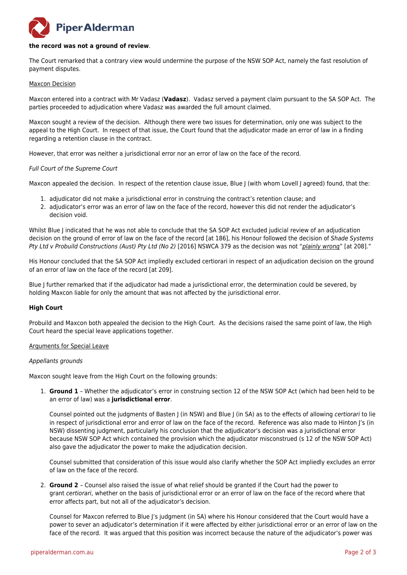# **PiperAlderman**

#### **the record was not a ground of review**.

The Court remarked that a contrary view would undermine the purpose of the NSW SOP Act, namely the fast resolution of payment disputes.

#### Maxcon Decision

Maxcon entered into a contract with Mr Vadasz (**Vadasz**). Vadasz served a payment claim pursuant to the SA SOP Act. The parties proceeded to adjudication where Vadasz was awarded the full amount claimed.

Maxcon sought a review of the decision. Although there were two issues for determination, only one was subject to the appeal to the High Court. In respect of that issue, the Court found that the adjudicator made an error of law in a finding regarding a retention clause in the contract.

However, that error was neither a jurisdictional error nor an error of law on the face of the record.

#### Full Court of the Supreme Court

Maxcon appealed the decision. In respect of the retention clause issue, Blue J (with whom Lovell J agreed) found, that the:

- 1. adjudicator did not make a jurisdictional error in construing the contract's retention clause; and
- 2. adjudicator's error was an error of law on the face of the record, however this did not render the adjudicator's decision void.

Whilst Blue J indicated that he was not able to conclude that the SA SOP Act excluded judicial review of an adjudication decision on the ground of error of law on the face of the record [at 186], his Honour followed the decision of Shade Systems Pty Ltd v Probuild Constructions (Aust) Pty Ltd (No 2) [2016] NSWCA 379 as the decision was not "plainly wrong" [at 208]."

His Honour concluded that the SA SOP Act impliedly excluded certiorari in respect of an adjudication decision on the ground of an error of law on the face of the record [at 209].

Blue J further remarked that if the adjudicator had made a jurisdictional error, the determination could be severed, by holding Maxcon liable for only the amount that was not affected by the jurisdictional error.

#### **High Court**

Probuild and Maxcon both appealed the decision to the High Court. As the decisions raised the same point of law, the High Court heard the special leave applications together.

#### Arguments for Special Leave

#### Appellants grounds

Maxcon sought leave from the High Court on the following grounds:

1. **Ground 1** – Whether the adjudicator's error in construing section 12 of the NSW SOP Act (which had been held to be an error of law) was a **jurisdictional error**.

Counsel pointed out the judgments of Basten J (in NSW) and Blue J (in SA) as to the effects of allowing certiorari to lie in respect of jurisdictional error and error of law on the face of the record. Reference was also made to Hinton J's (in NSW) dissenting judgment, particularly his conclusion that the adjudicator's decision was a jurisdictional error because NSW SOP Act which contained the provision which the adjudicator misconstrued (s 12 of the NSW SOP Act) also gave the adjudicator the power to make the adjudication decision.

Counsel submitted that consideration of this issue would also clarify whether the SOP Act impliedly excludes an error of law on the face of the record.

2. **Ground 2** – Counsel also raised the issue of what relief should be granted if the Court had the power to grant certiorari, whether on the basis of jurisdictional error or an error of law on the face of the record where that error affects part, but not all of the adjudicator's decision.

Counsel for Maxcon referred to Blue J's judgment (in SA) where his Honour considered that the Court would have a power to sever an adjudicator's determination if it were affected by either jurisdictional error or an error of law on the face of the record. It was argued that this position was incorrect because the nature of the adjudicator's power was